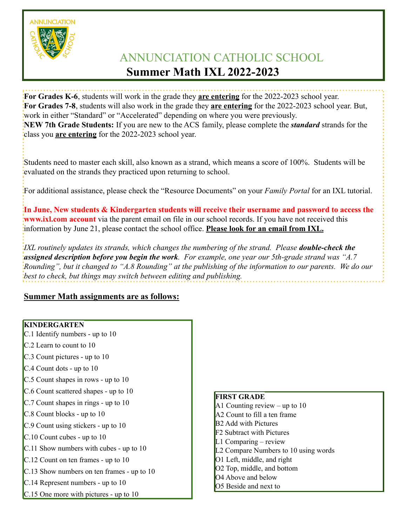**ANNUNCIATION** 

# ANNUNCIATION CATHOLIC SCHOOL **Summer Math IXL 2022-2023**

**For Grades K-6**, students will work in the grade they **are entering** for the 2022-2023 school year. **For Grades 7-8**, students will also work in the grade they **are entering** for the 2022-2023 school year. But, work in either "Standard" or "Accelerated" depending on where you were previously. **NEW 7th Grade Students:** If you are new to the ACS family, please complete the *standard* strands for the class you **are entering** for the 2022-2023 school year.

Students need to master each skill, also known as a strand, which means a score of 100%. Students will be evaluated on the strands they practiced upon returning to school.

For additional assistance, please check the "Resource Documents" on your *Family Portal* for an IXL tutorial.

**In June, New students & Kindergarten students will receive their username and password to access the www.ixl.com account** via the parent email on file in our school records. If you have not received this information by June 21, please contact the school office. **Please look for an email from IXL.**

*IXL routinely updates its strands, which changes the numbering of the strand. Please double-check the assigned description before you begin the work. For example, one year our 5th-grade strand was "A.7 Rounding", but it changed to "A.8 Rounding" at the publishing of the information to our parents. We do our best to check, but things may switch between editing and publishing.*

# **Summer Math assignments are as follows:**

# **KINDERGARTEN**

- C.1 Identify numbers up to 10
- C.2 Learn to count to 10
- C.3 Count pictures up to 10
- C.4 Count dots up to 10
- C.5 Count shapes in rows up to 10
- C.6 Count scattered shapes up to 10
- C.7 Count shapes in rings up to 10
- C.8 Count blocks up to 10
- C.9 Count using stickers up to 10
- C.10 Count cubes up to 10
- C.11 Show numbers with cubes up to 10
- C.12 Count on ten frames up to 10
- C.13 Show numbers on ten frames up to 10
- C.14 Represent numbers up to 10
- C.15 One more with pictures up to 10

# **FIRST GRADE**

- A1 Counting review up to  $10$ A2 Count to fill a ten frame B2 Add with Pictures F2 Subtract with Pictures L1 Comparing – review L2 Compare Numbers to 10 using words O1 Left, middle, and right
- O2 Top, middle, and bottom
- O<sub>4</sub> Above and below
- O5 Beside and next to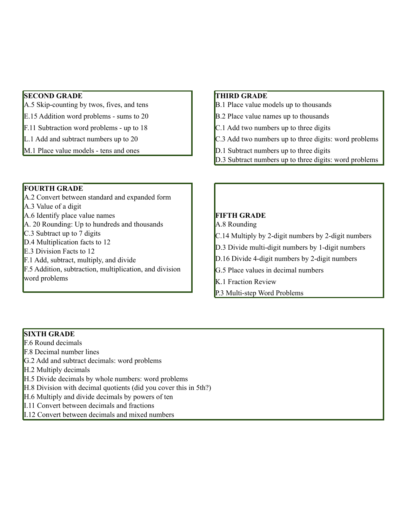## **SECOND GRADE**

A.5 Skip-counting by twos, fives, and tens

E.15 Addition word problems - sums to 20

F.11 Subtraction word problems - up to 18

- L.1 Add and subtract numbers up to 20
- M.1 Place value models tens and ones

#### **FOURTH GRADE**

A.2 Convert between standard and expanded form A.3 Value of a digit A.6 Identify place value names A. 20 Rounding: Up to hundreds and thousands C.3 Subtract up to 7 digits D.4 Multiplication facts to 12 E.3 Division Facts to 12 F.1 Add, subtract, multiply, and divide F.5 Addition, subtraction, multiplication, and division word problems

#### **THIRD GRADE**

- B.1 Place value models up to thousands
- B.2 Place value names up to thousands
- C.1 Add two numbers up to three digits
- C.3 Add two numbers up to three digits: word problems
- D.1 Subtract numbers up to three digits
- D.3 Subtract numbers up to three digits: word problems

## **FIFTH GRADE**

A.8 Rounding

- C.14 Multiply by 2-digit numbers by 2-digit numbers
- D.3 Divide multi-digit numbers by 1-digit numbers
- D.16 Divide 4-digit numbers by 2-digit numbers
- G.5 Place values in decimal numbers
- K.1 Fraction Review
- P.3 Multi-step Word Problems

#### **SIXTH GRADE**

F.6 Round decimals

F.8 Decimal number lines

G.2 Add and subtract decimals: word problems

H.2 Multiply decimals

- H.5 Divide decimals by whole numbers: word problems
- H.8 Division with decimal quotients (did you cover this in 5th?)
- H.6 Multiply and divide decimals by powers of ten

I.11 Convert between decimals and fractions

I.12 Convert between decimals and mixed numbers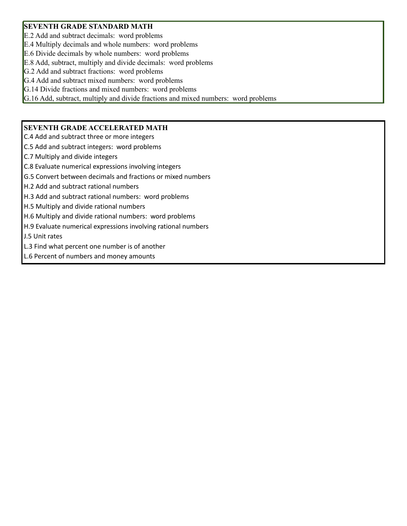#### **SEVENTH GRADE STANDARD MATH**

E.2 Add and subtract decimals: word problems

E.4 Multiply decimals and whole numbers: word problems

E.6 Divide decimals by whole numbers: word problems

E.8 Add, subtract, multiply and divide decimals: word problems

G.2 Add and subtract fractions: word problems

G.4 Add and subtract mixed numbers: word problems

G.14 Divide fractions and mixed numbers: word problems

G.16 Add, subtract, multiply and divide fractions and mixed numbers: word problems

#### **SEVENTH GRADE ACCELERATED MATH**

C.4 Add and subtract three or more integers

C.5 Add and subtract integers: word problems

C.7 Multiply and divide integers

C.8 Evaluate numerical expressions involving integers

G.5 Convert between decimals and fractions or mixed numbers

H.2 Add and subtract rational numbers

H.3 Add and subtract rational numbers: word problems

H.5 Multiply and divide rational numbers

H.6 Multiply and divide rational numbers: word problems

H.9 Evaluate numerical expressions involving rational numbers

J.5 Unit rates

L.3 Find what percent one number is of another

L.6 Percent of numbers and money amounts